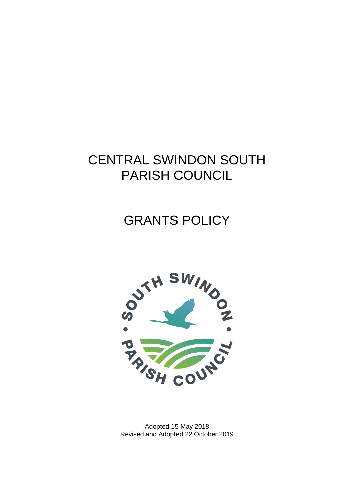# CENTRAL SWINDON SOUTH PARISH COUNCIL

# GRANTS POLICY



Adopted 15 May 2018 Revised and Adopted 22 October 2019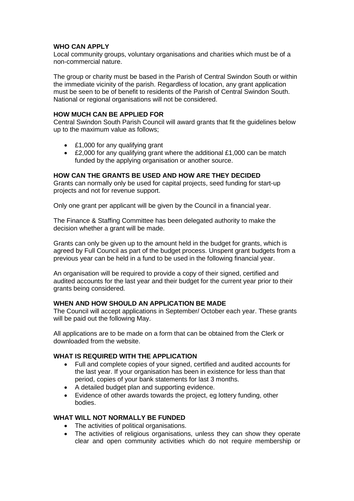#### **WHO CAN APPLY**

Local community groups, voluntary organisations and charities which must be of a non-commercial nature.

The group or charity must be based in the Parish of Central Swindon South or within the immediate vicinity of the parish. Regardless of location, any grant application must be seen to be of benefit to residents of the Parish of Central Swindon South. National or regional organisations will not be considered.

#### **HOW MUCH CAN BE APPLIED FOR**

Central Swindon South Parish Council will award grants that fit the guidelines below up to the maximum value as follows;

- £1,000 for any qualifying grant
- £2,000 for any qualifying grant where the additional £1,000 can be match funded by the applying organisation or another source.

### **HOW CAN THE GRANTS BE USED AND HOW ARE THEY DECIDED**

Grants can normally only be used for capital projects, seed funding for start-up projects and not for revenue support.

Only one grant per applicant will be given by the Council in a financial year.

The Finance & Staffing Committee has been delegated authority to make the decision whether a grant will be made.

Grants can only be given up to the amount held in the budget for grants, which is agreed by Full Council as part of the budget process. Unspent grant budgets from a previous year can be held in a fund to be used in the following financial year.

An organisation will be required to provide a copy of their signed, certified and audited accounts for the last year and their budget for the current year prior to their grants being considered.

### **WHEN AND HOW SHOULD AN APPLICATION BE MADE**

The Council will accept applications in September/ October each year. These grants will be paid out the following May.

All applications are to be made on a form that can be obtained from the Clerk or downloaded from the website.

### **WHAT IS REQUIRED WITH THE APPLICATION**

- Full and complete copies of your signed, certified and audited accounts for the last year. If your organisation has been in existence for less than that period, copies of your bank statements for last 3 months.
- A detailed budget plan and supporting evidence.
- Evidence of other awards towards the project, eg lottery funding, other bodies.

#### **WHAT WILL NOT NORMALLY BE FUNDED**

- The activities of political organisations.
- The activities of religious organisations, unless they can show they operate clear and open community activities which do not require membership or